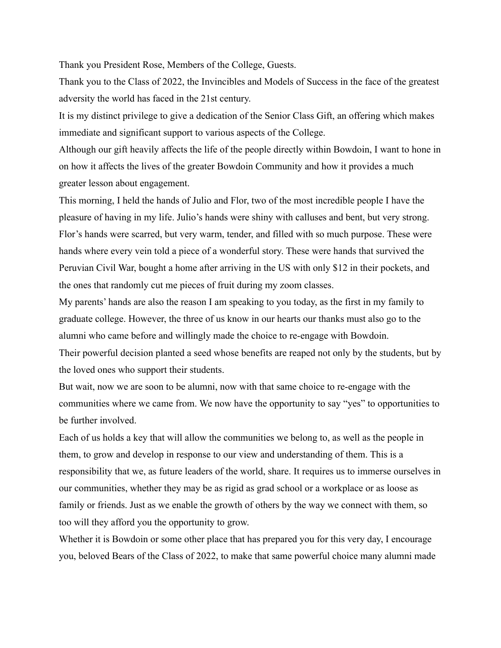Thank you President Rose, Members of the College, Guests.

Thank you to the Class of 2022, the Invincibles and Models of Success in the face of the greatest adversity the world has faced in the 21st century.

It is my distinct privilege to give a dedication of the Senior Class Gift, an offering which makes immediate and significant support to various aspects of the College.

Although our gift heavily affects the life of the people directly within Bowdoin, I want to hone in on how it affects the lives of the greater Bowdoin Community and how it provides a much greater lesson about engagement.

This morning, I held the hands of Julio and Flor, two of the most incredible people I have the pleasure of having in my life. Julio's hands were shiny with calluses and bent, but very strong. Flor's hands were scarred, but very warm, tender, and filled with so much purpose. These were hands where every vein told a piece of a wonderful story. These were hands that survived the Peruvian Civil War, bought a home after arriving in the US with only \$12 in their pockets, and the ones that randomly cut me pieces of fruit during my zoom classes.

My parents' hands are also the reason I am speaking to you today, as the first in my family to graduate college. However, the three of us know in our hearts our thanks must also go to the alumni who came before and willingly made the choice to re-engage with Bowdoin.

Their powerful decision planted a seed whose benefits are reaped not only by the students, but by the loved ones who support their students.

But wait, now we are soon to be alumni, now with that same choice to re-engage with the communities where we came from. We now have the opportunity to say "yes" to opportunities to be further involved.

Each of us holds a key that will allow the communities we belong to, as well as the people in them, to grow and develop in response to our view and understanding of them. This is a responsibility that we, as future leaders of the world, share. It requires us to immerse ourselves in our communities, whether they may be as rigid as grad school or a workplace or as loose as family or friends. Just as we enable the growth of others by the way we connect with them, so too will they afford you the opportunity to grow.

Whether it is Bowdoin or some other place that has prepared you for this very day, I encourage you, beloved Bears of the Class of 2022, to make that same powerful choice many alumni made